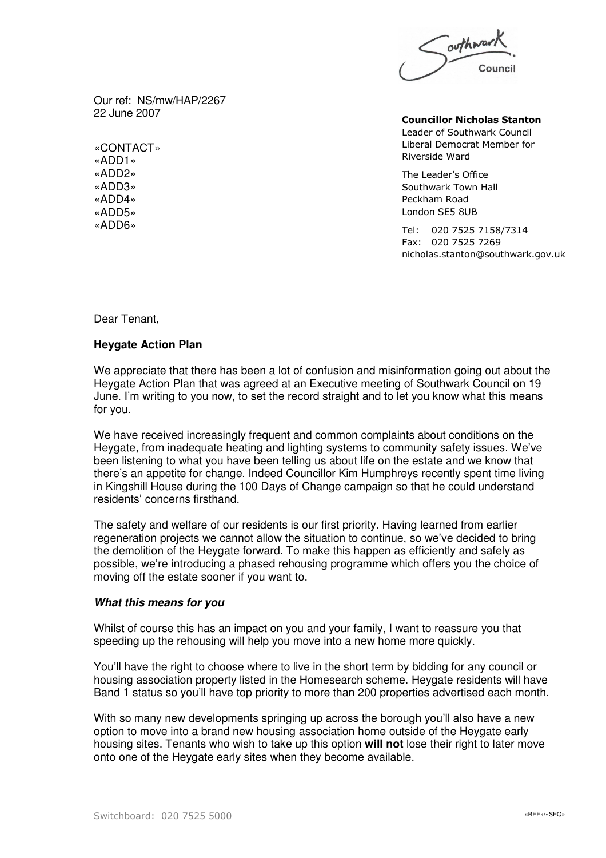

Our ref: NS/mw/HAP/2267 22 June 2007

«CONTACT» «ADD1» «ADD2» «ADD3» «ADD4» «ADD5» «ADD6»

**Councillor Nicholas Stanton** Leader of Southwark Council Liberal Democrat Member for Riverside Ward

The Leader's Office Southwark Town Hall Peckham Road London SE5 8UB

Tel: 020 7525 7158/7314 Fax: 020 7525 7269 nicholas.stanton@southwark.gov.uk

Dear Tenant,

## **Heygate Action Plan**

We appreciate that there has been a lot of confusion and misinformation going out about the Heygate Action Plan that was agreed at an Executive meeting of Southwark Council on 19 June. I'm writing to you now, to set the record straight and to let you know what this means for you.

We have received increasingly frequent and common complaints about conditions on the Heygate, from inadequate heating and lighting systems to community safety issues. We've been listening to what you have been telling us about life on the estate and we know that there's an appetite for change. Indeed Councillor Kim Humphreys recently spent time living in Kingshill House during the 100 Days of Change campaign so that he could understand residents' concerns firsthand.

The safety and welfare of our residents is our first priority. Having learned from earlier regeneration projects we cannot allow the situation to continue, so we've decided to bring the demolition of the Heygate forward. To make this happen as efficiently and safely as possible, we're introducing a phased rehousing programme which offers you the choice of moving off the estate sooner if you want to.

## *What this means for you*

Whilst of course this has an impact on you and your family, I want to reassure you that speeding up the rehousing will help you move into a new home more quickly.

You'll have the right to choose where to live in the short term by bidding for any council or housing association property listed in the Homesearch scheme. Heygate residents will have Band 1 status so you'll have top priority to more than 200 properties advertised each month.

With so many new developments springing up across the borough you'll also have a new option to move into a brand new housing association home outside of the Heygate early housing sites. Tenants who wish to take up this option **will not** lose their right to later move onto one of the Heygate early sites when they become available.